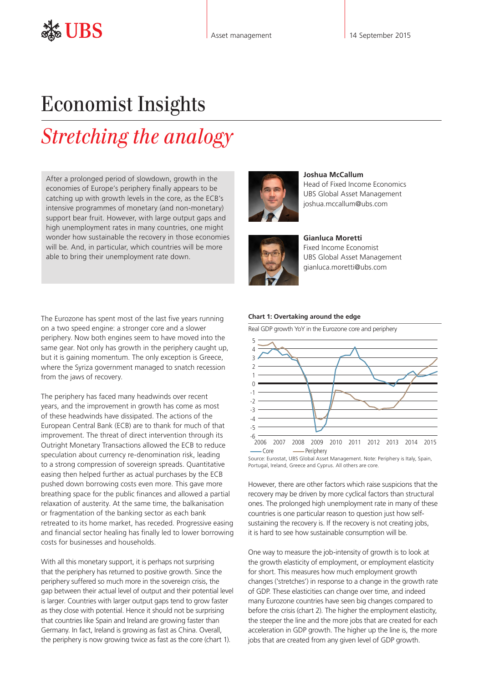## Economist Insights

## *Stretching the analogy*

After a prolonged period of slowdown, growth in the economies of Europe's periphery finally appears to be catching up with growth levels in the core, as the ECB's intensive programmes of monetary (and non-monetary) support bear fruit. However, with large output gaps and high unemployment rates in many countries, one might wonder how sustainable the recovery in those economies will be. And, in particular, which countries will be more able to bring their unemployment rate down.

The Eurozone has spent most of the last five years running on a two speed engine: a stronger core and a slower periphery. Now both engines seem to have moved into the same gear. Not only has growth in the periphery caught up, but it is gaining momentum. The only exception is Greece, where the Syriza government managed to snatch recession from the jaws of recovery.

The periphery has faced many headwinds over recent years, and the improvement in growth has come as most of these headwinds have dissipated. The actions of the European Central Bank (ECB) are to thank for much of that improvement. The threat of direct intervention through its Outright Monetary Transactions allowed the ECB to reduce speculation about currency re-denomination risk, leading to a strong compression of sovereign spreads. Quantitative easing then helped further as actual purchases by the ECB pushed down borrowing costs even more. This gave more breathing space for the public finances and allowed a partial relaxation of austerity. At the same time, the balkanisation or fragmentation of the banking sector as each bank retreated to its home market, has receded. Progressive easing and financial sector healing has finally led to lower borrowing costs for businesses and households.

With all this monetary support, it is perhaps not surprising that the periphery has returned to positive growth. Since the periphery suffered so much more in the sovereign crisis, the gap between their actual level of output and their potential level is larger. Countries with larger output gaps tend to grow faster as they close with potential. Hence it should not be surprising that countries like Spain and Ireland are growing faster than Germany. In fact, Ireland is growing as fast as China. Overall, the periphery is now growing twice as fast as the core (chart 1).





**Joshua McCallum** Head of Fixed Income Economics UBS Global Asset Management joshua.mccallum@ubs.com

**Gianluca Moretti**  Fixed Income Economist UBS Global Asset Management gianluca.moretti@ubs.com

## **Chart 1: Overtaking around the edge**

Real GDP growth YoY in the Eurozone core and periphery



Source: Eurostat, UBS Global Asset Management. Note: Periphery is Italy, Spain, Portugal, Ireland, Greece and Cyprus. All others are core.

However, there are other factors which raise suspicions that the recovery may be driven by more cyclical factors than structural ones. The prolonged high unemployment rate in many of these countries is one particular reason to question just how selfsustaining the recovery is. If the recovery is not creating jobs, it is hard to see how sustainable consumption will be.

One way to measure the job-intensity of growth is to look at the growth elasticity of employment, or employment elasticity for short. This measures how much employment growth changes ('stretches') in response to a change in the growth rate of GDP. These elasticities can change over time, and indeed many Eurozone countries have seen big changes compared to before the crisis (chart 2). The higher the employment elasticity, the steeper the line and the more jobs that are created for each acceleration in GDP growth. The higher up the line is, the more jobs that are created from any given level of GDP growth.